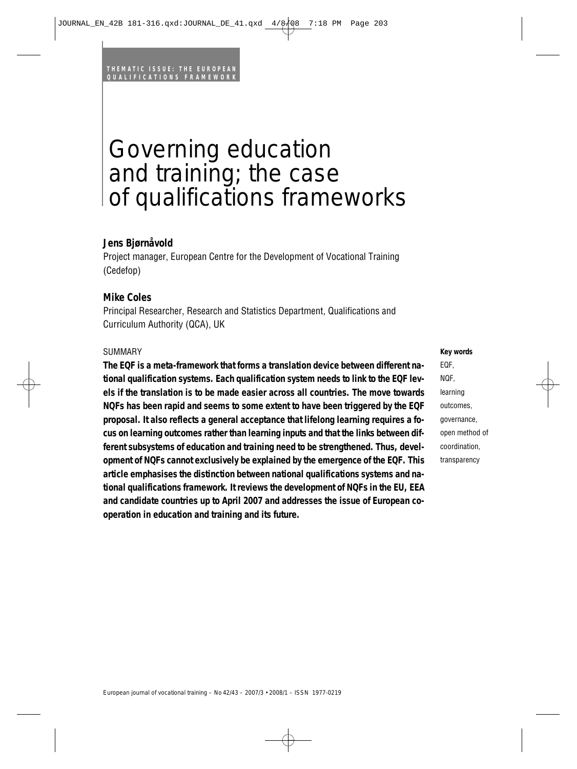# Governing education and training; the case of qualifications frameworks

# **Jens Bjørnåvold**

Project manager, European Centre for the Development of Vocational Training (Cedefop)

# **Mike Coles**

Principal Researcher, Research and Statistics Department, Qualifications and Curriculum Authority (QCA), UK

#### SUMMARY

**The EQF is a meta-framework that forms a translation device between different national qualification systems. Each qualification system needs to link to the EQF levels if the translation is to be made easier across all countries. The move towards NQFs has been rapid and seems to some extent to have been triggered by the EQF proposal. It also reflects a general acceptance that lifelong learning requires a focus on learning outcomes rather than learning inputs and that the links between different subsystems of education and training need to be strengthened. Thus, development of NQFs cannot exclusively be explained by the emergence of the EQF. This article emphasises the distinction between national qualifications systems and national qualifications framework. It reviews the development of NQFs in the EU, EEA and candidate countries up to April 2007 and addresses the issue of European cooperation in education and training and its future.**

**Key words** EQF, NQF, learning outcomes, governance, open method of coordination, transparency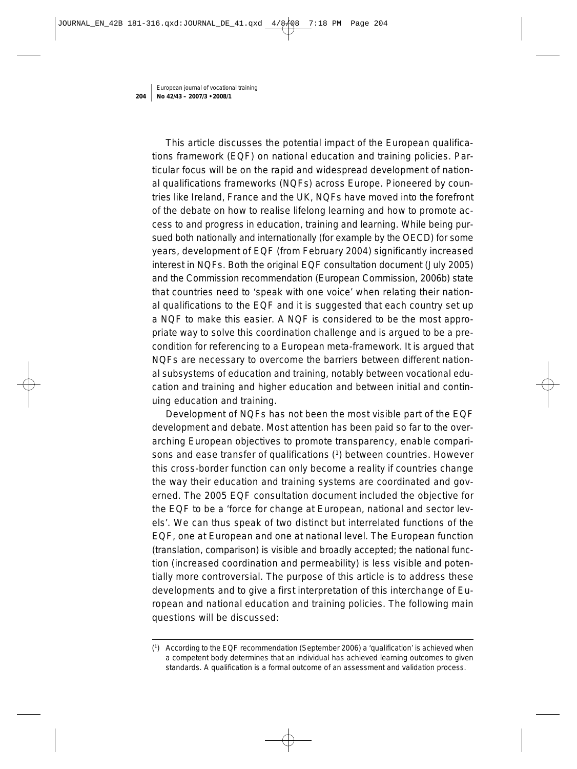This article discusses the potential impact of the European qualifications framework (EQF) on national education and training policies. Particular focus will be on the rapid and widespread development of national qualifications frameworks (NQFs) across Europe. Pioneered by countries like Ireland, France and the UK, NQFs have moved into the forefront of the debate on how to realise lifelong learning and how to promote access to and progress in education, training and learning. While being pursued both nationally and internationally (for example by the OECD) for some years, development of EQF (from February 2004) significantly increased interest in NQFs. Both the original EQF consultation document (July 2005) and the Commission recommendation (European Commission, 2006b) state that countries need to 'speak with one voice' when relating their national qualifications to the EQF and it is suggested that each country set up a NQF to make this easier. A NQF is considered to be the most appropriate way to solve this coordination challenge and is argued to be a precondition for referencing to a European meta-framework. It is argued that NQFs are necessary to overcome the barriers between different national subsystems of education and training, notably between vocational education and training and higher education and between initial and continuing education and training.

Development of NQFs has not been the most visible part of the EQF development and debate. Most attention has been paid so far to the overarching European objectives to promote transparency, enable comparisons and ease transfer of qualifications (1) between countries. However this cross-border function can only become a reality if countries change the way their education and training systems are coordinated and governed. The 2005 EQF consultation document included the objective for the EQF to be a 'force for change at European, national and sector levels'. We can thus speak of two distinct but interrelated functions of the EQF, one at European and one at national level. The European function (translation, comparison) is visible and broadly accepted; the national function (increased coordination and permeability) is less visible and potentially more controversial. The purpose of this article is to address these developments and to give a first interpretation of this interchange of European and national education and training policies. The following main questions will be discussed:

<sup>(1)</sup> According to the EQF recommendation (September 2006) a 'qualification' is achieved when a competent body determines that an individual has achieved learning outcomes to given standards. A qualification is a formal outcome of an assessment and validation process.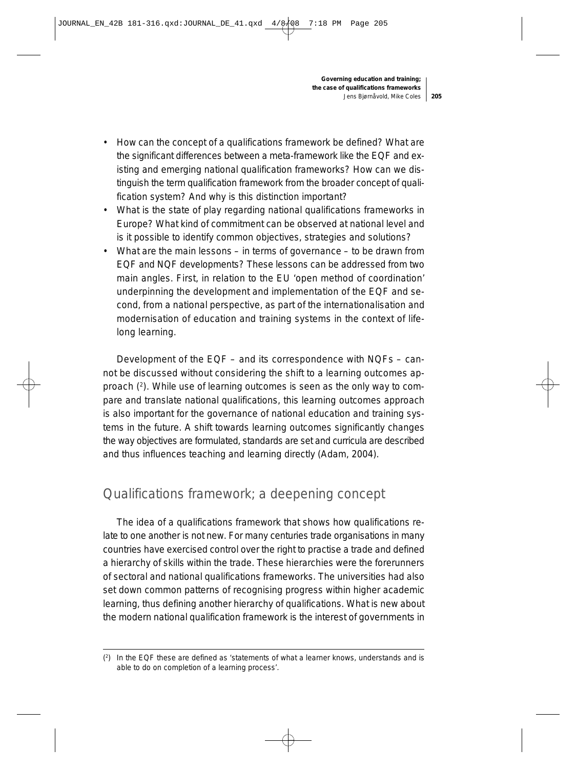- How can the concept of a qualifications framework be defined? What are the significant differences between a meta-framework like the EQF and existing and emerging national qualification frameworks? How can we distinguish the term qualification framework from the broader concept of qualification system? And why is this distinction important?
- What is the state of play regarding national qualifications frameworks in Europe? What kind of commitment can be observed at national level and is it possible to identify common objectives, strategies and solutions?
- What are the main lessons in terms of governance to be drawn from EQF and NQF developments? These lessons can be addressed from two main angles. First, in relation to the EU 'open method of coordination' underpinning the development and implementation of the EQF and second, from a national perspective, as part of the internationalisation and modernisation of education and training systems in the context of lifelong learning.

Development of the EQF – and its correspondence with NQFs – cannot be discussed without considering the shift to a learning outcomes approach (2). While use of learning outcomes is seen as the only way to compare and translate national qualifications, this learning outcomes approach is also important for the governance of national education and training systems in the future. A shift towards learning outcomes significantly changes the way objectives are formulated, standards are set and curricula are described and thus influences teaching and learning directly (Adam, 2004).

# Qualifications framework; a deepening concept

The idea of a qualifications framework that shows how qualifications relate to one another is not new. For many centuries trade organisations in many countries have exercised control over the right to practise a trade and defined a hierarchy of skills within the trade. These hierarchies were the forerunners of sectoral and national qualifications frameworks. The universities had also set down common patterns of recognising progress within higher academic learning, thus defining another hierarchy of qualifications. What is new about the modern national qualification framework is the interest of governments in

<sup>(2)</sup> In the EQF these are defined as 'statements of what a learner knows, understands and is able to do on completion of a learning process'.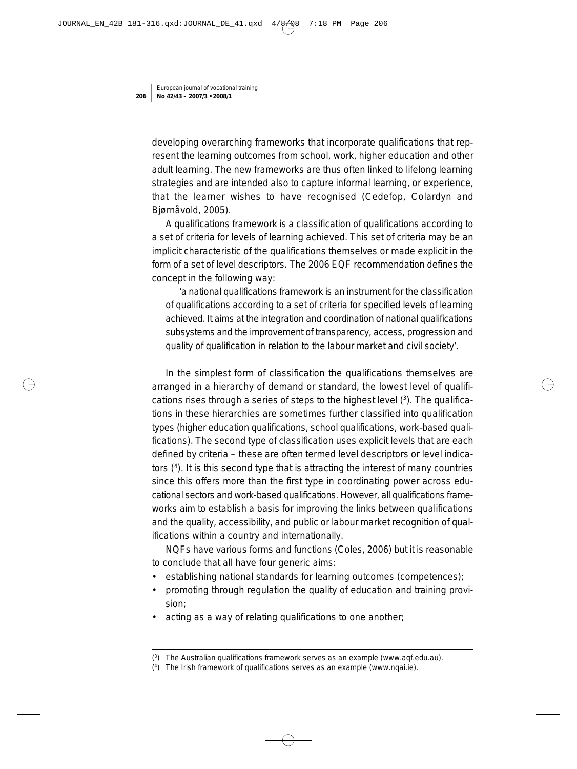developing overarching frameworks that incorporate qualifications that represent the learning outcomes from school, work, higher education and other adult learning. The new frameworks are thus often linked to lifelong learning strategies and are intended also to capture informal learning, or experience, that the learner wishes to have recognised (Cedefop, Colardyn and Bjørnåvold, 2005).

A qualifications framework is a classification of qualifications according to a set of criteria for levels of learning achieved. This set of criteria may be an implicit characteristic of the qualifications themselves or made explicit in the form of a set of level descriptors. The 2006 EQF recommendation defines the concept in the following way:

'a national qualifications framework is an instrument for the classification of qualifications according to a set of criteria for specified levels of learning achieved. It aims at the integration and coordination of national qualifications subsystems and the improvement of transparency, access, progression and quality of qualification in relation to the labour market and civil society'.

In the simplest form of classification the qualifications themselves are arranged in a hierarchy of demand or standard, the lowest level of qualifications rises through a series of steps to the highest level (3). The qualifications in these hierarchies are sometimes further classified into qualification types (higher education qualifications, school qualifications, work-based qualifications). The second type of classification uses explicit levels that are each defined by criteria – these are often termed level descriptors or level indicators (4). It is this second type that is attracting the interest of many countries since this offers more than the first type in coordinating power across educational sectors and work-based qualifications. However, all qualifications frameworks aim to establish a basis for improving the links between qualifications and the quality, accessibility, and public or labour market recognition of qualifications within a country and internationally.

NQFs have various forms and functions (Coles, 2006) but it is reasonable to conclude that all have four generic aims:

- establishing national standards for learning outcomes (competences);
- promoting through regulation the quality of education and training provision;
- acting as a way of relating qualifications to one another;

<sup>(3)</sup> The Australian qualifications framework serves as an example (www.aqf.edu.au).

<sup>(4)</sup> The Irish framework of qualifications serves as an example (www.nqai.ie).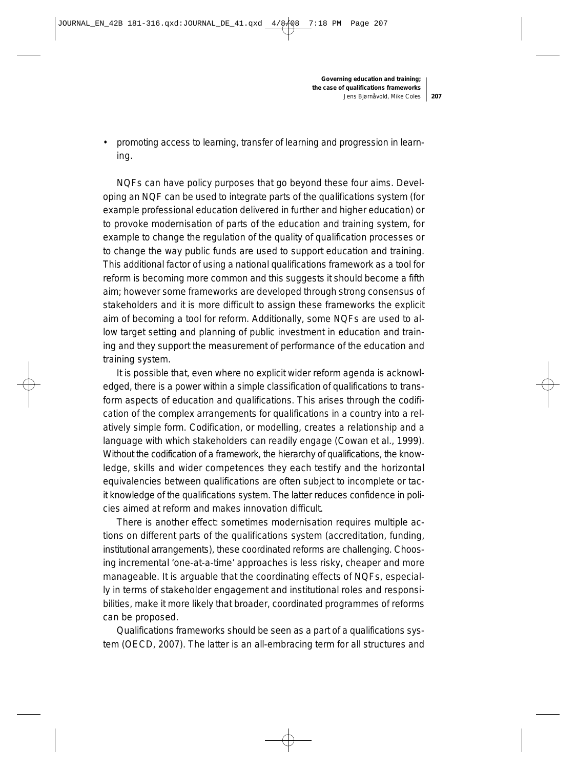• promoting access to learning, transfer of learning and progression in learning.

NQFs can have policy purposes that go beyond these four aims. Developing an NQF can be used to integrate parts of the qualifications system (for example professional education delivered in further and higher education) or to provoke modernisation of parts of the education and training system, for example to change the regulation of the quality of qualification processes or to change the way public funds are used to support education and training. This additional factor of using a national qualifications framework as a tool for reform is becoming more common and this suggests it should become a fifth aim; however some frameworks are developed through strong consensus of stakeholders and it is more difficult to assign these frameworks the explicit aim of becoming a tool for reform. Additionally, some NQFs are used to allow target setting and planning of public investment in education and training and they support the measurement of performance of the education and training system.

It is possible that, even where no explicit wider reform agenda is acknowledged, there is a power within a simple classification of qualifications to transform aspects of education and qualifications. This arises through the codification of the complex arrangements for qualifications in a country into a relatively simple form. Codification, or modelling, creates a relationship and a language with which stakeholders can readily engage (Cowan et al., 1999). Without the codification of a framework, the hierarchy of qualifications, the knowledge, skills and wider competences they each testify and the horizontal equivalencies between qualifications are often subject to incomplete or tacit knowledge of the qualifications system. The latter reduces confidence in policies aimed at reform and makes innovation difficult.

There is another effect: sometimes modernisation requires multiple actions on different parts of the qualifications system (accreditation, funding, institutional arrangements), these coordinated reforms are challenging. Choosing incremental 'one-at-a-time' approaches is less risky, cheaper and more manageable. It is arguable that the coordinating effects of NQFs, especially in terms of stakeholder engagement and institutional roles and responsibilities, make it more likely that broader, coordinated programmes of reforms can be proposed.

Qualifications frameworks should be seen as a part of a qualifications system (OECD, 2007). The latter is an all-embracing term for all structures and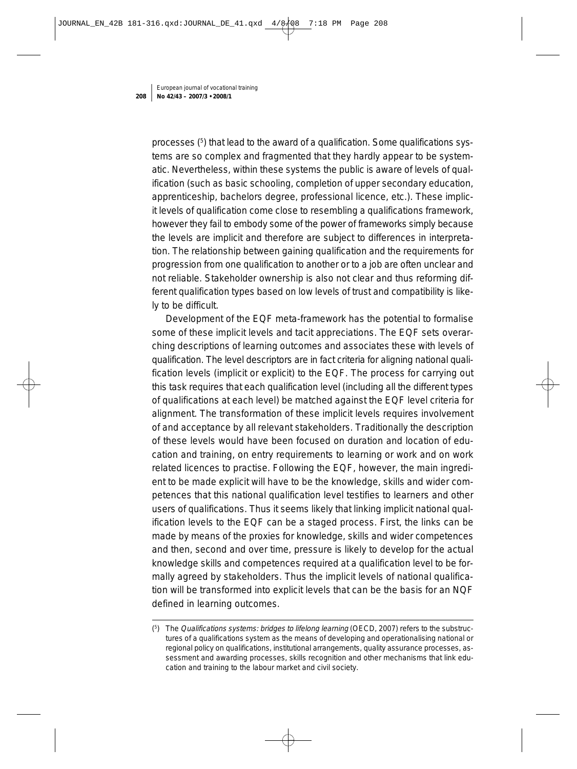processes (<sup>5</sup>) that lead to the award of a qualification. Some qualifications systems are so complex and fragmented that they hardly appear to be systematic. Nevertheless, within these systems the public is aware of levels of qualification (such as basic schooling, completion of upper secondary education, apprenticeship, bachelors degree, professional licence, etc.). These implicit levels of qualification come close to resembling a qualifications framework, however they fail to embody some of the power of frameworks simply because the levels are implicit and therefore are subject to differences in interpretation. The relationship between gaining qualification and the requirements for progression from one qualification to another or to a job are often unclear and not reliable. Stakeholder ownership is also not clear and thus reforming different qualification types based on low levels of trust and compatibility is likely to be difficult.

Development of the EQF meta-framework has the potential to formalise some of these implicit levels and tacit appreciations. The EQF sets overarching descriptions of learning outcomes and associates these with levels of qualification. The level descriptors are in fact criteria for aligning national qualification levels (implicit or explicit) to the EQF. The process for carrying out this task requires that each qualification level (including all the different types of qualifications at each level) be matched against the EQF level criteria for alignment. The transformation of these implicit levels requires involvement of and acceptance by all relevant stakeholders. Traditionally the description of these levels would have been focused on duration and location of education and training, on entry requirements to learning or work and on work related licences to practise. Following the EQF, however, the main ingredient to be made explicit will have to be the knowledge, skills and wider competences that this national qualification level testifies to learners and other users of qualifications. Thus it seems likely that linking implicit national qualification levels to the EQF can be a staged process. First, the links can be made by means of the proxies for knowledge, skills and wider competences and then, second and over time, pressure is likely to develop for the actual knowledge skills and competences required at a qualification level to be formally agreed by stakeholders. Thus the implicit levels of national qualification will be transformed into explicit levels that can be the basis for an NQF defined in learning outcomes.

<sup>(5)</sup> The Qualifications systems: bridges to lifelong learning (OECD, 2007) refers to the substructures of a qualifications system as the means of developing and operationalising national or regional policy on qualifications, institutional arrangements, quality assurance processes, assessment and awarding processes, skills recognition and other mechanisms that link education and training to the labour market and civil society.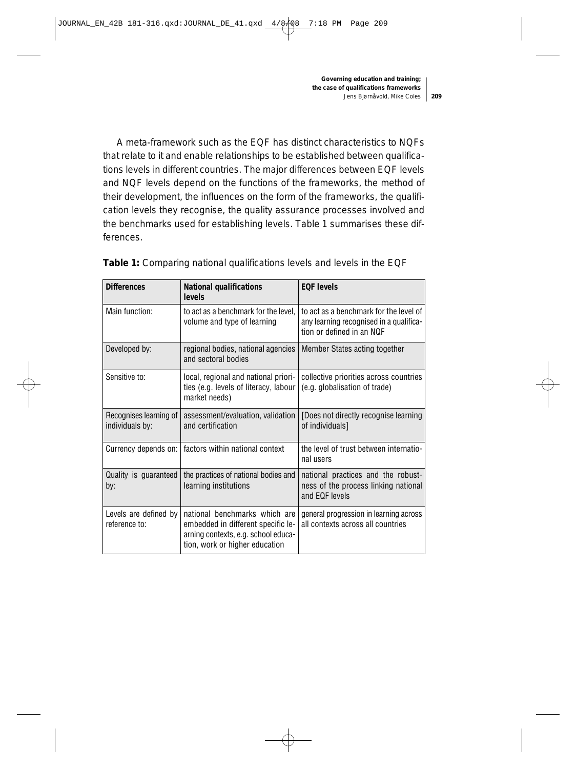A meta-framework such as the EQF has distinct characteristics to NQFs that relate to it and enable relationships to be established between qualifications levels in different countries. The major differences between EQF levels and NQF levels depend on the functions of the frameworks, the method of their development, the influences on the form of the frameworks, the qualification levels they recognise, the quality assurance processes involved and the benchmarks used for establishing levels. Table 1 summarises these differences.

| <b>Differences</b>                        | <b>National qualifications</b><br>levels                                                                                                     | <b>EQF levels</b>                                                                                              |
|-------------------------------------------|----------------------------------------------------------------------------------------------------------------------------------------------|----------------------------------------------------------------------------------------------------------------|
| Main function:                            | to act as a benchmark for the level,<br>volume and type of learning                                                                          | to act as a benchmark for the level of<br>any learning recognised in a qualifica-<br>tion or defined in an NQF |
| Developed by:                             | regional bodies, national agencies<br>and sectoral bodies                                                                                    | Member States acting together                                                                                  |
| Sensitive to:                             | local, regional and national priori-<br>ties (e.g. levels of literacy, labour<br>market needs)                                               | collective priorities across countries<br>(e.g. globalisation of trade)                                        |
| Recognises learning of<br>individuals by: | assessment/evaluation, validation<br>and certification                                                                                       | [Does not directly recognise learning<br>of individuals]                                                       |
| Currency depends on:                      | factors within national context                                                                                                              | the level of trust between internatio-<br>nal users                                                            |
| Quality is guaranteed<br>by:              | the practices of national bodies and<br>learning institutions                                                                                | national practices and the robust-<br>ness of the process linking national<br>and EQF levels                   |
| Levels are defined by<br>reference to:    | national benchmarks which are<br>embedded in different specific le-<br>arning contexts, e.g. school educa-<br>tion, work or higher education | general progression in learning across<br>all contexts across all countries                                    |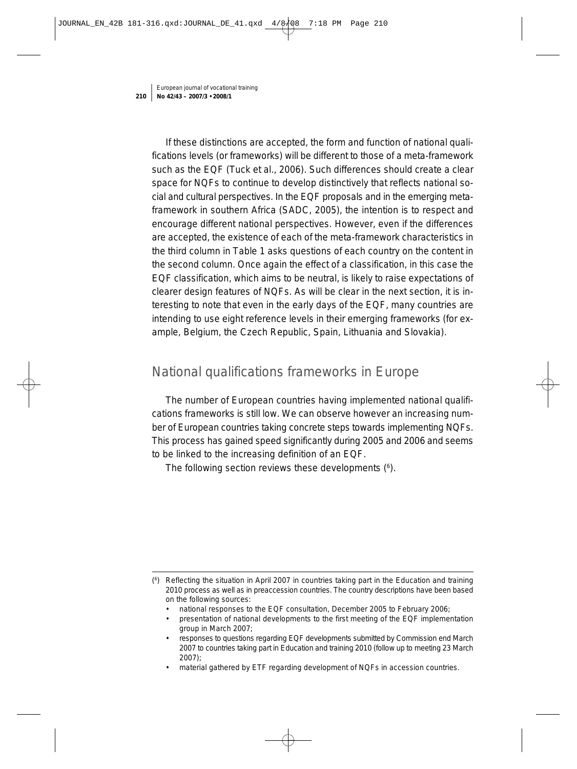If these distinctions are accepted, the form and function of national qualifications levels (or frameworks) will be different to those of a meta-framework such as the EQF (Tuck et al., 2006). Such differences should create a clear space for NQFs to continue to develop distinctively that reflects national social and cultural perspectives. In the EQF proposals and in the emerging metaframework in southern Africa (SADC, 2005), the intention is to respect and encourage different national perspectives. However, even if the differences are accepted, the existence of each of the meta-framework characteristics in the third column in Table 1 asks questions of each country on the content in the second column. Once again the effect of a classification, in this case the EQF classification, which aims to be neutral, is likely to raise expectations of clearer design features of NQFs. As will be clear in the next section, it is interesting to note that even in the early days of the EQF, many countries are intending to use eight reference levels in their emerging frameworks (for example, Belgium, the Czech Republic, Spain, Lithuania and Slovakia).

# National qualifications frameworks in Europe

The number of European countries having implemented national qualifications frameworks is still low. We can observe however an increasing number of European countries taking concrete steps towards implementing NQFs. This process has gained speed significantly during 2005 and 2006 and seems to be linked to the increasing definition of an EQF.

The following section reviews these developments (<sup>6</sup>).

- national responses to the EQF consultation, December 2005 to February 2006;
- presentation of national developments to the first meeting of the EQF implementation group in March 2007;
- responses to questions regarding EQF developments submitted by Commission end March 2007 to countries taking part in Education and training 2010 (follow up to meeting 23 March 2007);
- material gathered by ETF regarding development of NQFs in accession countries.

<sup>(6)</sup> Reflecting the situation in April 2007 in countries taking part in the Education and training 2010 process as well as in preaccession countries. The country descriptions have been based on the following sources: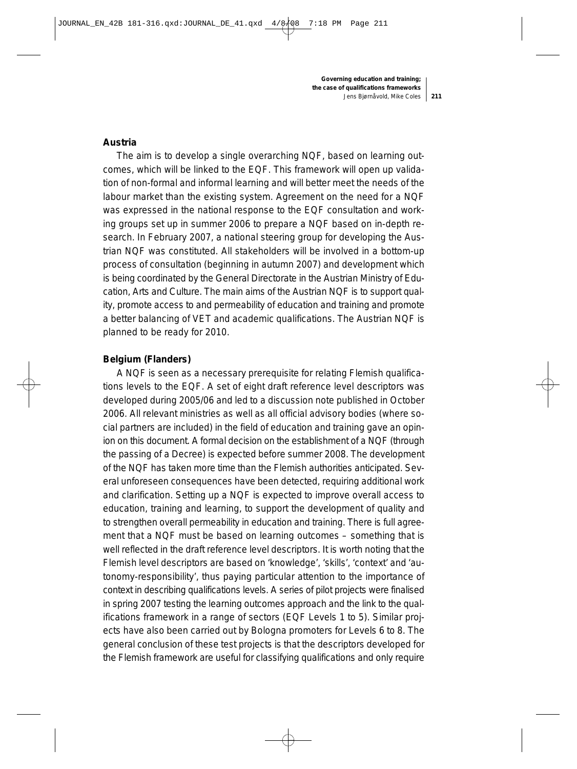#### **Austria**

The aim is to develop a single overarching NQF, based on learning outcomes, which will be linked to the EQF. This framework will open up validation of non-formal and informal learning and will better meet the needs of the labour market than the existing system. Agreement on the need for a NQF was expressed in the national response to the EQF consultation and working groups set up in summer 2006 to prepare a NQF based on in-depth research. In February 2007, a national steering group for developing the Austrian NQF was constituted. All stakeholders will be involved in a bottom-up process of consultation (beginning in autumn 2007) and development which is being coordinated by the General Directorate in the Austrian Ministry of Education, Arts and Culture. The main aims of the Austrian NQF is to support quality, promote access to and permeability of education and training and promote a better balancing of VET and academic qualifications. The Austrian NQF is planned to be ready for 2010.

#### **Belgium (Flanders)**

A NQF is seen as a necessary prerequisite for relating Flemish qualifications levels to the EQF. A set of eight draft reference level descriptors was developed during 2005/06 and led to a discussion note published in October 2006. All relevant ministries as well as all official advisory bodies (where social partners are included) in the field of education and training gave an opinion on this document. A formal decision on the establishment of a NQF (through the passing of a Decree) is expected before summer 2008. The development of the NQF has taken more time than the Flemish authorities anticipated. Several unforeseen consequences have been detected, requiring additional work and clarification. Setting up a NQF is expected to improve overall access to education, training and learning, to support the development of quality and to strengthen overall permeability in education and training. There is full agreement that a NQF must be based on learning outcomes – something that is well reflected in the draft reference level descriptors. It is worth noting that the Flemish level descriptors are based on 'knowledge', 'skills', 'context' and 'autonomy-responsibility', thus paying particular attention to the importance of context in describing qualifications levels. A series of pilot projects were finalised in spring 2007 testing the learning outcomes approach and the link to the qualifications framework in a range of sectors (EQF Levels 1 to 5). Similar projects have also been carried out by Bologna promoters for Levels 6 to 8. The general conclusion of these test projects is that the descriptors developed for the Flemish framework are useful for classifying qualifications and only require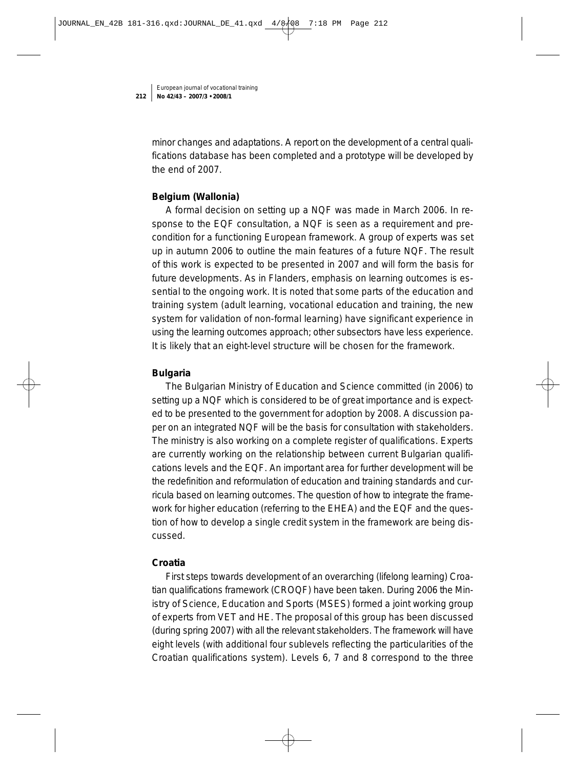minor changes and adaptations. A report on the development of a central qualifications database has been completed and a prototype will be developed by the end of 2007.

## **Belgium (Wallonia)**

A formal decision on setting up a NQF was made in March 2006. In response to the EQF consultation, a NQF is seen as a requirement and precondition for a functioning European framework. A group of experts was set up in autumn 2006 to outline the main features of a future NQF. The result of this work is expected to be presented in 2007 and will form the basis for future developments. As in Flanders, emphasis on learning outcomes is essential to the ongoing work. It is noted that some parts of the education and training system (adult learning, vocational education and training, the new system for validation of non-formal learning) have significant experience in using the learning outcomes approach; other subsectors have less experience. It is likely that an eight-level structure will be chosen for the framework.

## **Bulgaria**

The Bulgarian Ministry of Education and Science committed (in 2006) to setting up a NQF which is considered to be of great importance and is expected to be presented to the government for adoption by 2008. A discussion paper on an integrated NQF will be the basis for consultation with stakeholders. The ministry is also working on a complete register of qualifications. Experts are currently working on the relationship between current Bulgarian qualifications levels and the EQF. An important area for further development will be the redefinition and reformulation of education and training standards and curricula based on learning outcomes. The question of how to integrate the framework for higher education (referring to the EHEA) and the EQF and the question of how to develop a single credit system in the framework are being discussed.

# **Croatia**

First steps towards development of an overarching (lifelong learning) Croatian qualifications framework (CROQF) have been taken. During 2006 the Ministry of Science, Education and Sports (MSES) formed a joint working group of experts from VET and HE. The proposal of this group has been discussed (during spring 2007) with all the relevant stakeholders. The framework will have eight levels (with additional four sublevels reflecting the particularities of the Croatian qualifications system). Levels 6, 7 and 8 correspond to the three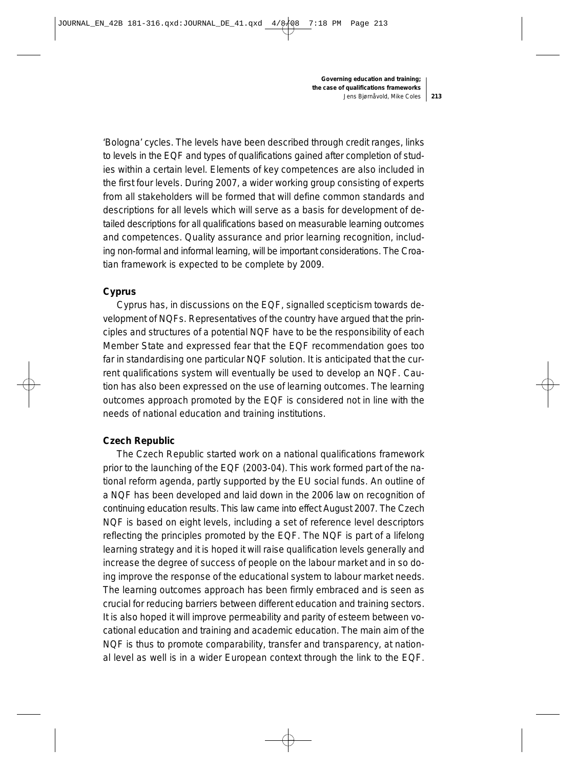'Bologna' cycles. The levels have been described through credit ranges, links to levels in the EQF and types of qualifications gained after completion of studies within a certain level. Elements of key competences are also included in the first four levels. During 2007, a wider working group consisting of experts from all stakeholders will be formed that will define common standards and descriptions for all levels which will serve as a basis for development of detailed descriptions for all qualifications based on measurable learning outcomes and competences. Quality assurance and prior learning recognition, including non-formal and informal learning, will be important considerations. The Croatian framework is expected to be complete by 2009.

# **Cyprus**

Cyprus has, in discussions on the EQF, signalled scepticism towards development of NQFs. Representatives of the country have argued that the principles and structures of a potential NQF have to be the responsibility of each Member State and expressed fear that the EQF recommendation goes too far in standardising one particular NQF solution. It is anticipated that the current qualifications system will eventually be used to develop an NQF. Caution has also been expressed on the use of learning outcomes. The learning outcomes approach promoted by the EQF is considered not in line with the needs of national education and training institutions.

## **Czech Republic**

The Czech Republic started work on a national qualifications framework prior to the launching of the EQF (2003-04). This work formed part of the national reform agenda, partly supported by the EU social funds. An outline of a NQF has been developed and laid down in the 2006 law on recognition of continuing education results. This law came into effect August 2007. The Czech NQF is based on eight levels, including a set of reference level descriptors reflecting the principles promoted by the EQF. The NQF is part of a lifelong learning strategy and it is hoped it will raise qualification levels generally and increase the degree of success of people on the labour market and in so doing improve the response of the educational system to labour market needs. The learning outcomes approach has been firmly embraced and is seen as crucial for reducing barriers between different education and training sectors. It is also hoped it will improve permeability and parity of esteem between vocational education and training and academic education. The main aim of the NQF is thus to promote comparability, transfer and transparency, at national level as well is in a wider European context through the link to the EQF.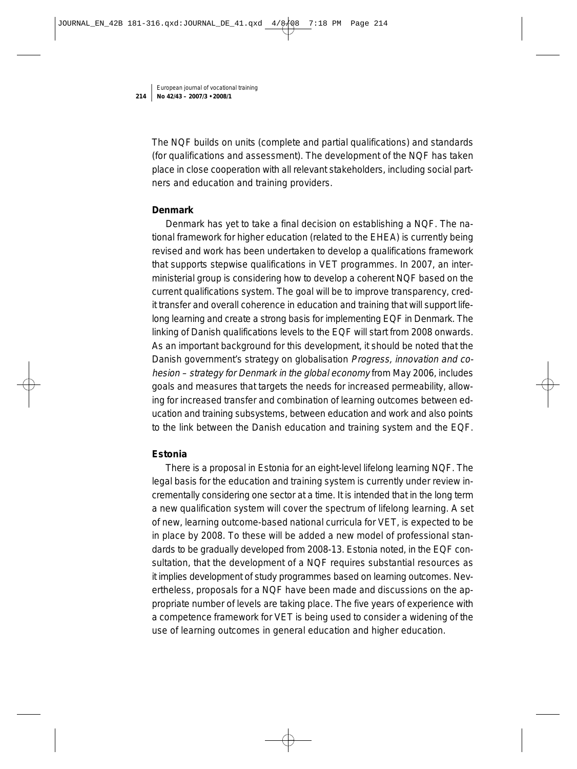The NQF builds on units (complete and partial qualifications) and standards (for qualifications and assessment). The development of the NQF has taken place in close cooperation with all relevant stakeholders, including social partners and education and training providers.

#### **Denmark**

Denmark has yet to take a final decision on establishing a NQF. The national framework for higher education (related to the EHEA) is currently being revised and work has been undertaken to develop a qualifications framework that supports stepwise qualifications in VET programmes. In 2007, an interministerial group is considering how to develop a coherent NQF based on the current qualifications system. The goal will be to improve transparency, credit transfer and overall coherence in education and training that will support lifelong learning and create a strong basis for implementing EQF in Denmark. The linking of Danish qualifications levels to the EQF will start from 2008 onwards. As an important background for this development, it should be noted that the Danish government's strategy on globalisation Progress, innovation and cohesion – strategy for Denmark in the global economy from May 2006, includes goals and measures that targets the needs for increased permeability, allowing for increased transfer and combination of learning outcomes between education and training subsystems, between education and work and also points to the link between the Danish education and training system and the EQF.

## **Estonia**

There is a proposal in Estonia for an eight-level lifelong learning NQF. The legal basis for the education and training system is currently under review incrementally considering one sector at a time. It is intended that in the long term a new qualification system will cover the spectrum of lifelong learning. A set of new, learning outcome-based national curricula for VET, is expected to be in place by 2008. To these will be added a new model of professional standards to be gradually developed from 2008-13. Estonia noted, in the EQF consultation, that the development of a NQF requires substantial resources as it implies development of study programmes based on learning outcomes. Nevertheless, proposals for a NQF have been made and discussions on the appropriate number of levels are taking place. The five years of experience with a competence framework for VET is being used to consider a widening of the use of learning outcomes in general education and higher education.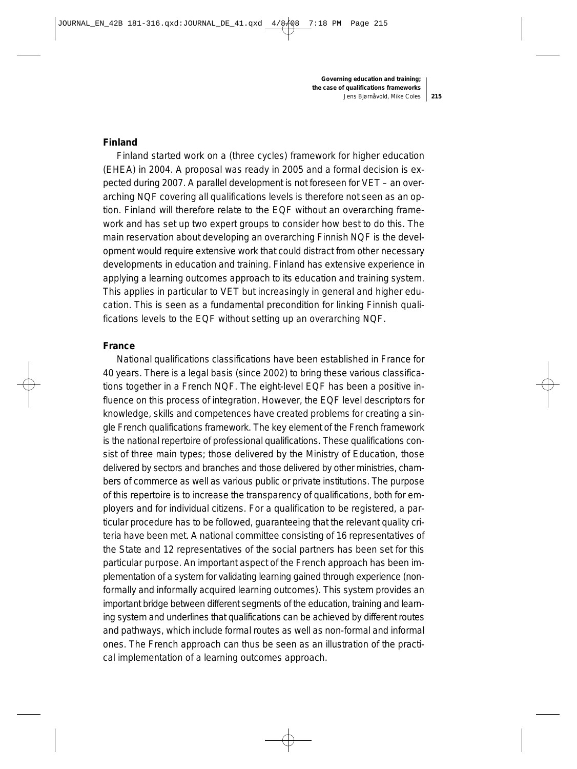#### **Finland**

Finland started work on a (three cycles) framework for higher education (EHEA) in 2004. A proposal was ready in 2005 and a formal decision is expected during 2007. A parallel development is not foreseen for VET – an overarching NQF covering all qualifications levels is therefore not seen as an option. Finland will therefore relate to the EQF without an overarching framework and has set up two expert groups to consider how best to do this. The main reservation about developing an overarching Finnish NQF is the development would require extensive work that could distract from other necessary developments in education and training. Finland has extensive experience in applying a learning outcomes approach to its education and training system. This applies in particular to VET but increasingly in general and higher education. This is seen as a fundamental precondition for linking Finnish qualifications levels to the EQF without setting up an overarching NQF.

#### **France**

National qualifications classifications have been established in France for 40 years. There is a legal basis (since 2002) to bring these various classifications together in a French NQF. The eight-level EQF has been a positive influence on this process of integration. However, the EQF level descriptors for knowledge, skills and competences have created problems for creating a single French qualifications framework. The key element of the French framework is the national repertoire of professional qualifications. These qualifications consist of three main types; those delivered by the Ministry of Education, those delivered by sectors and branches and those delivered by other ministries, chambers of commerce as well as various public or private institutions. The purpose of this repertoire is to increase the transparency of qualifications, both for employers and for individual citizens. For a qualification to be registered, a particular procedure has to be followed, guaranteeing that the relevant quality criteria have been met. A national committee consisting of 16 representatives of the State and 12 representatives of the social partners has been set for this particular purpose. An important aspect of the French approach has been implementation of a system for validating learning gained through experience (nonformally and informally acquired learning outcomes). This system provides an important bridge between different segments of the education, training and learning system and underlines that qualifications can be achieved by different routes and pathways, which include formal routes as well as non-formal and informal ones. The French approach can thus be seen as an illustration of the practical implementation of a learning outcomes approach.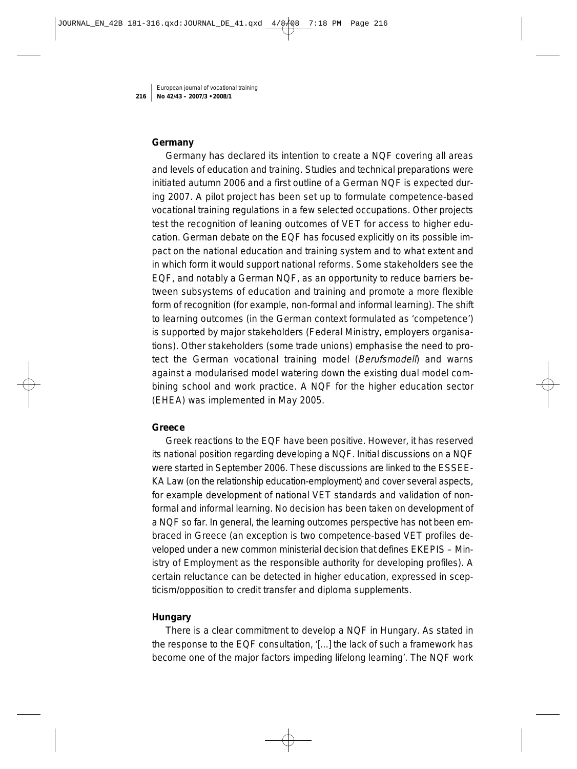### **Germany**

Germany has declared its intention to create a NQF covering all areas and levels of education and training. Studies and technical preparations were initiated autumn 2006 and a first outline of a German NQF is expected during 2007. A pilot project has been set up to formulate competence-based vocational training regulations in a few selected occupations. Other projects test the recognition of leaning outcomes of VET for access to higher education. German debate on the EQF has focused explicitly on its possible impact on the national education and training system and to what extent and in which form it would support national reforms. Some stakeholders see the EQF, and notably a German NQF, as an opportunity to reduce barriers between subsystems of education and training and promote a more flexible form of recognition (for example, non-formal and informal learning). The shift to learning outcomes (in the German context formulated as 'competence') is supported by major stakeholders (Federal Ministry, employers organisations). Other stakeholders (some trade unions) emphasise the need to protect the German vocational training model (Berufsmodell) and warns against a modularised model watering down the existing dual model combining school and work practice. A NQF for the higher education sector (EHEA) was implemented in May 2005.

#### **Greece**

Greek reactions to the EQF have been positive. However, it has reserved its national position regarding developing a NQF. Initial discussions on a NQF were started in September 2006. These discussions are linked to the ESSEE-KA Law (on the relationship education-employment) and cover several aspects, for example development of national VET standards and validation of nonformal and informal learning. No decision has been taken on development of a NQF so far. In general, the learning outcomes perspective has not been embraced in Greece (an exception is two competence-based VET profiles developed under a new common ministerial decision that defines EKEPIS – Ministry of Employment as the responsible authority for developing profiles). A certain reluctance can be detected in higher education, expressed in scepticism/opposition to credit transfer and diploma supplements.

#### **Hungary**

There is a clear commitment to develop a NQF in Hungary. As stated in the response to the EQF consultation, '[...] the lack of such a framework has become one of the major factors impeding lifelong learning'. The NQF work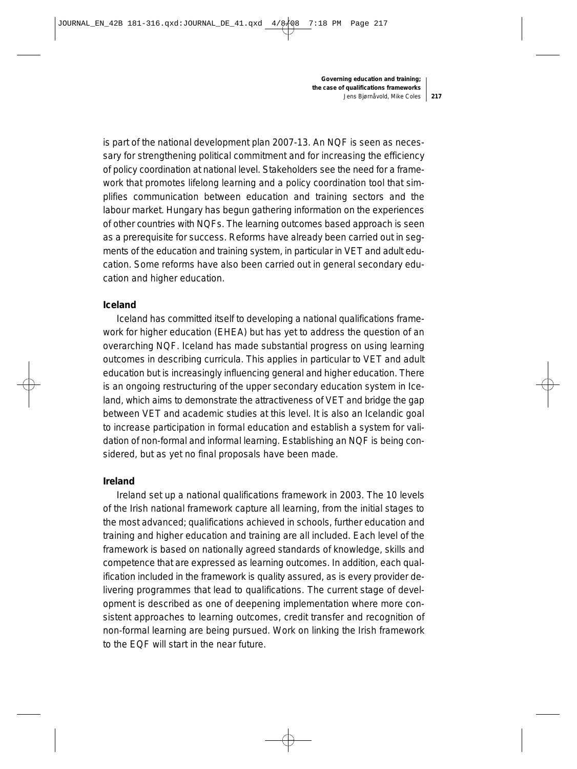is part of the national development plan 2007-13. An NQF is seen as necessary for strengthening political commitment and for increasing the efficiency of policy coordination at national level. Stakeholders see the need for a framework that promotes lifelong learning and a policy coordination tool that simplifies communication between education and training sectors and the labour market. Hungary has begun gathering information on the experiences of other countries with NQFs. The learning outcomes based approach is seen as a prerequisite for success. Reforms have already been carried out in segments of the education and training system, in particular in VET and adult education. Some reforms have also been carried out in general secondary education and higher education.

#### **Iceland**

Iceland has committed itself to developing a national qualifications framework for higher education (EHEA) but has yet to address the question of an overarching NQF. Iceland has made substantial progress on using learning outcomes in describing curricula. This applies in particular to VET and adult education but is increasingly influencing general and higher education. There is an ongoing restructuring of the upper secondary education system in Iceland, which aims to demonstrate the attractiveness of VET and bridge the gap between VET and academic studies at this level. It is also an Icelandic goal to increase participation in formal education and establish a system for validation of non-formal and informal learning. Establishing an NQF is being considered, but as yet no final proposals have been made.

#### **Ireland**

Ireland set up a national qualifications framework in 2003. The 10 levels of the Irish national framework capture all learning, from the initial stages to the most advanced; qualifications achieved in schools, further education and training and higher education and training are all included. Each level of the framework is based on nationally agreed standards of knowledge, skills and competence that are expressed as learning outcomes. In addition, each qualification included in the framework is quality assured, as is every provider delivering programmes that lead to qualifications. The current stage of development is described as one of deepening implementation where more consistent approaches to learning outcomes, credit transfer and recognition of non-formal learning are being pursued. Work on linking the Irish framework to the EQF will start in the near future.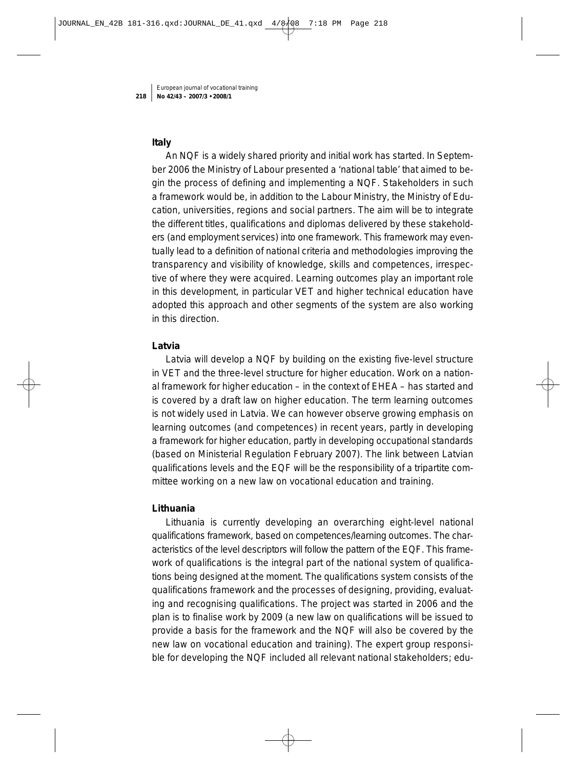#### **Italy**

An NQF is a widely shared priority and initial work has started. In September 2006 the Ministry of Labour presented a 'national table' that aimed to begin the process of defining and implementing a NQF. Stakeholders in such a framework would be, in addition to the Labour Ministry, the Ministry of Education, universities, regions and social partners. The aim will be to integrate the different titles, qualifications and diplomas delivered by these stakeholders (and employment services) into one framework. This framework may eventually lead to a definition of national criteria and methodologies improving the transparency and visibility of knowledge, skills and competences, irrespective of where they were acquired. Learning outcomes play an important role in this development, in particular VET and higher technical education have adopted this approach and other segments of the system are also working in this direction.

#### **Latvia**

Latvia will develop a NQF by building on the existing five-level structure in VET and the three-level structure for higher education. Work on a national framework for higher education – in the context of EHEA – has started and is covered by a draft law on higher education. The term learning outcomes is not widely used in Latvia. We can however observe growing emphasis on learning outcomes (and competences) in recent years, partly in developing a framework for higher education, partly in developing occupational standards (based on Ministerial Regulation February 2007). The link between Latvian qualifications levels and the EQF will be the responsibility of a tripartite committee working on a new law on vocational education and training.

#### **Lithuania**

Lithuania is currently developing an overarching eight-level national qualifications framework, based on competences/learning outcomes. The characteristics of the level descriptors will follow the pattern of the EQF. This framework of qualifications is the integral part of the national system of qualifications being designed at the moment. The qualifications system consists of the qualifications framework and the processes of designing, providing, evaluating and recognising qualifications. The project was started in 2006 and the plan is to finalise work by 2009 (a new law on qualifications will be issued to provide a basis for the framework and the NQF will also be covered by the new law on vocational education and training). The expert group responsible for developing the NQF included all relevant national stakeholders; edu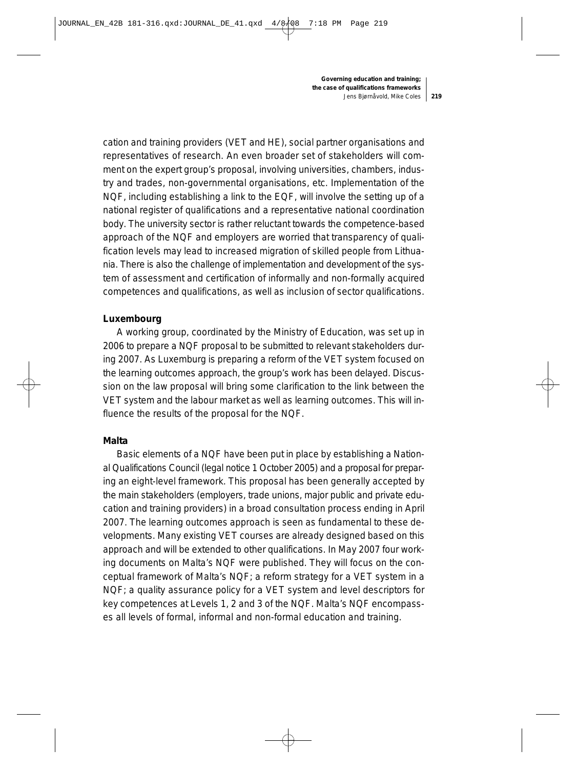cation and training providers (VET and HE), social partner organisations and representatives of research. An even broader set of stakeholders will comment on the expert group's proposal, involving universities, chambers, industry and trades, non-governmental organisations, etc. Implementation of the NQF, including establishing a link to the EQF, will involve the setting up of a national register of qualifications and a representative national coordination body. The university sector is rather reluctant towards the competence-based approach of the NQF and employers are worried that transparency of qualification levels may lead to increased migration of skilled people from Lithuania. There is also the challenge of implementation and development of the system of assessment and certification of informally and non-formally acquired competences and qualifications, as well as inclusion of sector qualifications.

#### **Luxembourg**

A working group, coordinated by the Ministry of Education, was set up in 2006 to prepare a NQF proposal to be submitted to relevant stakeholders during 2007. As Luxemburg is preparing a reform of the VET system focused on the learning outcomes approach, the group's work has been delayed. Discussion on the law proposal will bring some clarification to the link between the VET system and the labour market as well as learning outcomes. This will influence the results of the proposal for the NQF.

#### **Malta**

Basic elements of a NQF have been put in place by establishing a National Qualifications Council (legal notice 1 October 2005) and a proposal for preparing an eight-level framework. This proposal has been generally accepted by the main stakeholders (employers, trade unions, major public and private education and training providers) in a broad consultation process ending in April 2007. The learning outcomes approach is seen as fundamental to these developments. Many existing VET courses are already designed based on this approach and will be extended to other qualifications. In May 2007 four working documents on Malta's NQF were published. They will focus on the conceptual framework of Malta's NQF; a reform strategy for a VET system in a NQF; a quality assurance policy for a VET system and level descriptors for key competences at Levels 1, 2 and 3 of the NQF. Malta's NQF encompasses all levels of formal, informal and non-formal education and training.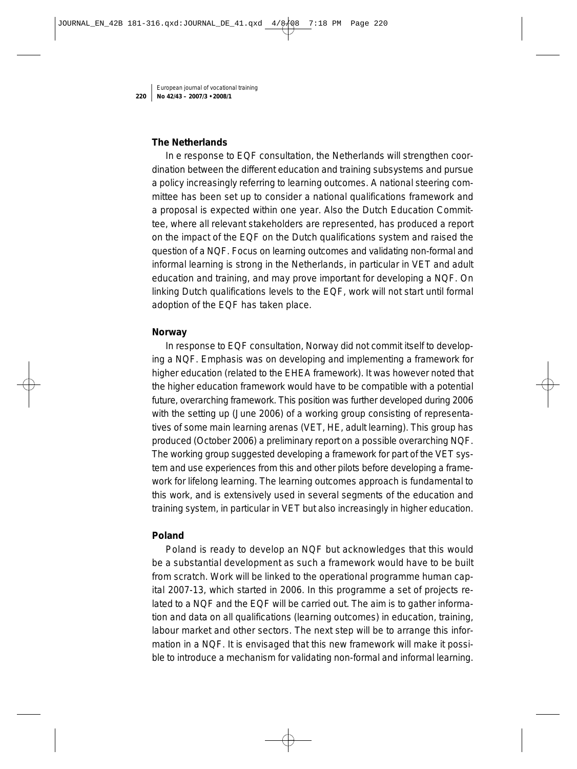#### **The Netherlands**

In e response to EQF consultation, the Netherlands will strengthen coordination between the different education and training subsystems and pursue a policy increasingly referring to learning outcomes. A national steering committee has been set up to consider a national qualifications framework and a proposal is expected within one year. Also the Dutch Education Committee, where all relevant stakeholders are represented, has produced a report on the impact of the EQF on the Dutch qualifications system and raised the question of a NQF. Focus on learning outcomes and validating non-formal and informal learning is strong in the Netherlands, in particular in VET and adult education and training, and may prove important for developing a NQF. On linking Dutch qualifications levels to the EQF, work will not start until formal adoption of the EQF has taken place.

#### **Norway**

In response to EQF consultation, Norway did not commit itself to developing a NQF. Emphasis was on developing and implementing a framework for higher education (related to the EHEA framework). It was however noted that the higher education framework would have to be compatible with a potential future, overarching framework. This position was further developed during 2006 with the setting up (June 2006) of a working group consisting of representatives of some main learning arenas (VET, HE, adult learning). This group has produced (October 2006) a preliminary report on a possible overarching NQF. The working group suggested developing a framework for part of the VET system and use experiences from this and other pilots before developing a framework for lifelong learning. The learning outcomes approach is fundamental to this work, and is extensively used in several segments of the education and training system, in particular in VET but also increasingly in higher education.

#### **Poland**

Poland is ready to develop an NQF but acknowledges that this would be a substantial development as such a framework would have to be built from scratch. Work will be linked to the operational programme human capital 2007-13, which started in 2006. In this programme a set of projects related to a NQF and the EQF will be carried out. The aim is to gather information and data on all qualifications (learning outcomes) in education, training, labour market and other sectors. The next step will be to arrange this information in a NQF. It is envisaged that this new framework will make it possible to introduce a mechanism for validating non-formal and informal learning.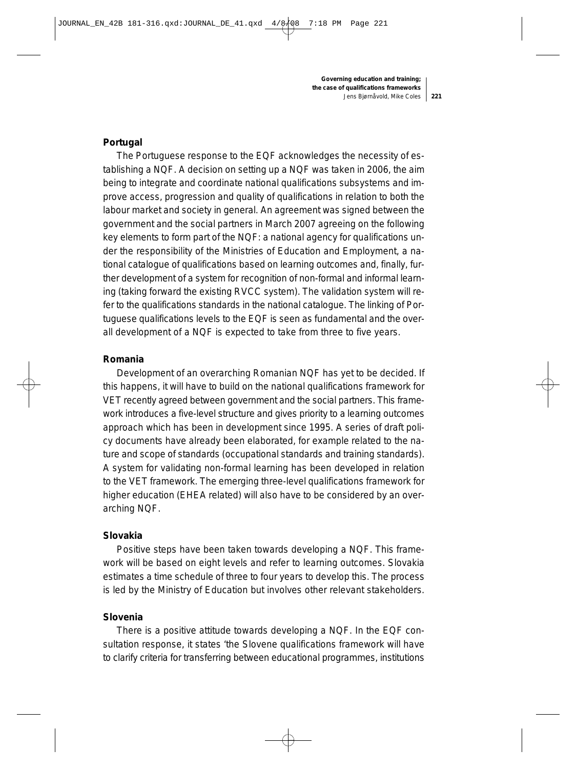#### **Portugal**

The Portuguese response to the EQF acknowledges the necessity of establishing a NQF. A decision on setting up a NQF was taken in 2006, the aim being to integrate and coordinate national qualifications subsystems and improve access, progression and quality of qualifications in relation to both the labour market and society in general. An agreement was signed between the government and the social partners in March 2007 agreeing on the following key elements to form part of the NQF: a national agency for qualifications under the responsibility of the Ministries of Education and Employment, a national catalogue of qualifications based on learning outcomes and, finally, further development of a system for recognition of non-formal and informal learning (taking forward the existing RVCC system). The validation system will refer to the qualifications standards in the national catalogue. The linking of Portuguese qualifications levels to the EQF is seen as fundamental and the overall development of a NQF is expected to take from three to five years.

#### **Romania**

Development of an overarching Romanian NQF has yet to be decided. If this happens, it will have to build on the national qualifications framework for VET recently agreed between government and the social partners. This framework introduces a five-level structure and gives priority to a learning outcomes approach which has been in development since 1995. A series of draft policy documents have already been elaborated, for example related to the nature and scope of standards (occupational standards and training standards). A system for validating non-formal learning has been developed in relation to the VET framework. The emerging three-level qualifications framework for higher education (EHEA related) will also have to be considered by an overarching NQF.

#### **Slovakia**

Positive steps have been taken towards developing a NQF. This framework will be based on eight levels and refer to learning outcomes. Slovakia estimates a time schedule of three to four years to develop this. The process is led by the Ministry of Education but involves other relevant stakeholders.

#### **Slovenia**

There is a positive attitude towards developing a NQF. In the EQF consultation response, it states 'the Slovene qualifications framework will have to clarify criteria for transferring between educational programmes, institutions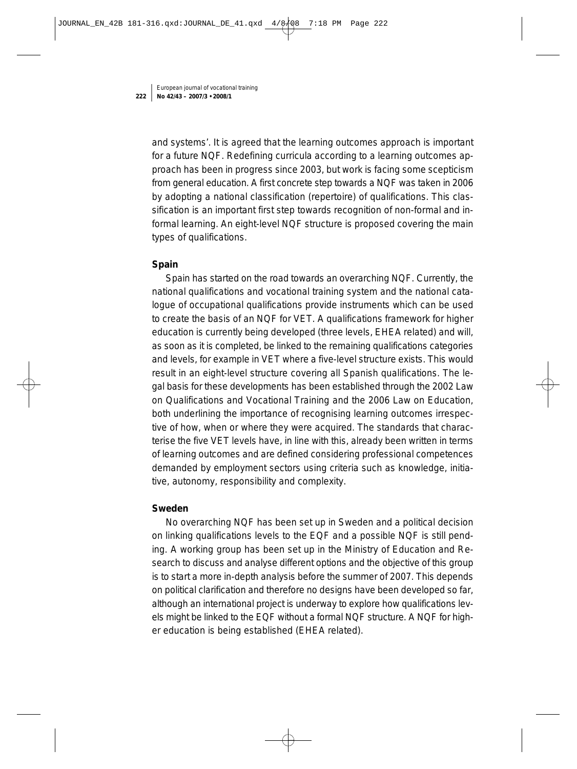and systems'. It is agreed that the learning outcomes approach is important for a future NQF. Redefining curricula according to a learning outcomes approach has been in progress since 2003, but work is facing some scepticism from general education. A first concrete step towards a NQF was taken in 2006 by adopting a national classification (repertoire) of qualifications. This classification is an important first step towards recognition of non-formal and informal learning. An eight-level NQF structure is proposed covering the main types of qualifications.

#### **Spain**

Spain has started on the road towards an overarching NQF. Currently, the national qualifications and vocational training system and the national catalogue of occupational qualifications provide instruments which can be used to create the basis of an NQF for VET. A qualifications framework for higher education is currently being developed (three levels, EHEA related) and will, as soon as it is completed, be linked to the remaining qualifications categories and levels, for example in VET where a five-level structure exists. This would result in an eight-level structure covering all Spanish qualifications. The legal basis for these developments has been established through the 2002 Law on Qualifications and Vocational Training and the 2006 Law on Education, both underlining the importance of recognising learning outcomes irrespective of how, when or where they were acquired. The standards that characterise the five VET levels have, in line with this, already been written in terms of learning outcomes and are defined considering professional competences demanded by employment sectors using criteria such as knowledge, initiative, autonomy, responsibility and complexity.

#### **Sweden**

No overarching NQF has been set up in Sweden and a political decision on linking qualifications levels to the EQF and a possible NQF is still pending. A working group has been set up in the Ministry of Education and Research to discuss and analyse different options and the objective of this group is to start a more in-depth analysis before the summer of 2007. This depends on political clarification and therefore no designs have been developed so far, although an international project is underway to explore how qualifications levels might be linked to the EQF without a formal NQF structure. A NQF for higher education is being established (EHEA related).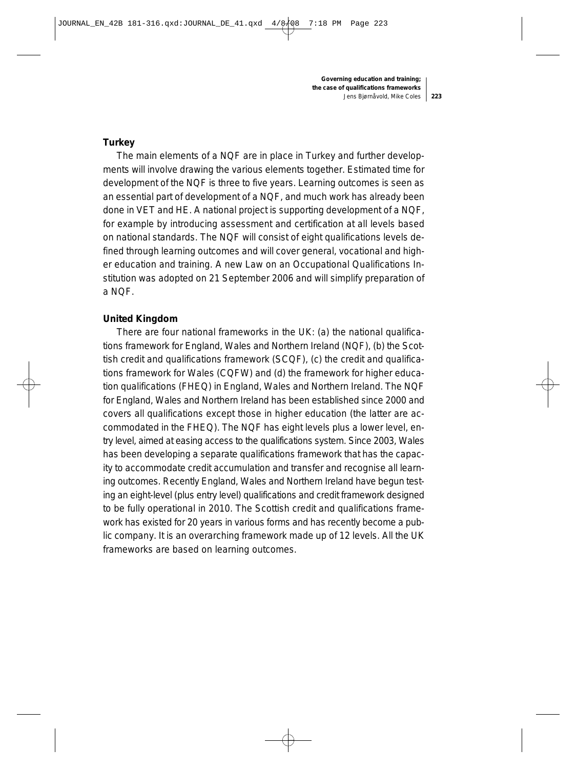#### **Turkey**

The main elements of a NQF are in place in Turkey and further developments will involve drawing the various elements together. Estimated time for development of the NQF is three to five years. Learning outcomes is seen as an essential part of development of a NQF, and much work has already been done in VET and HE. A national project is supporting development of a NQF, for example by introducing assessment and certification at all levels based on national standards. The NQF will consist of eight qualifications levels defined through learning outcomes and will cover general, vocational and higher education and training. A new Law on an Occupational Qualifications Institution was adopted on 21 September 2006 and will simplify preparation of a NQF.

#### **United Kingdom**

There are four national frameworks in the UK: (a) the national qualifications framework for England, Wales and Northern Ireland (NQF), (b) the Scottish credit and qualifications framework (SCQF), (c) the credit and qualifications framework for Wales (CQFW) and (d) the framework for higher education qualifications (FHEQ) in England, Wales and Northern Ireland. The NQF for England, Wales and Northern Ireland has been established since 2000 and covers all qualifications except those in higher education (the latter are accommodated in the FHEQ). The NQF has eight levels plus a lower level, entry level, aimed at easing access to the qualifications system. Since 2003, Wales has been developing a separate qualifications framework that has the capacity to accommodate credit accumulation and transfer and recognise all learning outcomes. Recently England, Wales and Northern Ireland have begun testing an eight-level (plus entry level) qualifications and credit framework designed to be fully operational in 2010. The Scottish credit and qualifications framework has existed for 20 years in various forms and has recently become a public company. It is an overarching framework made up of 12 levels. All the UK frameworks are based on learning outcomes.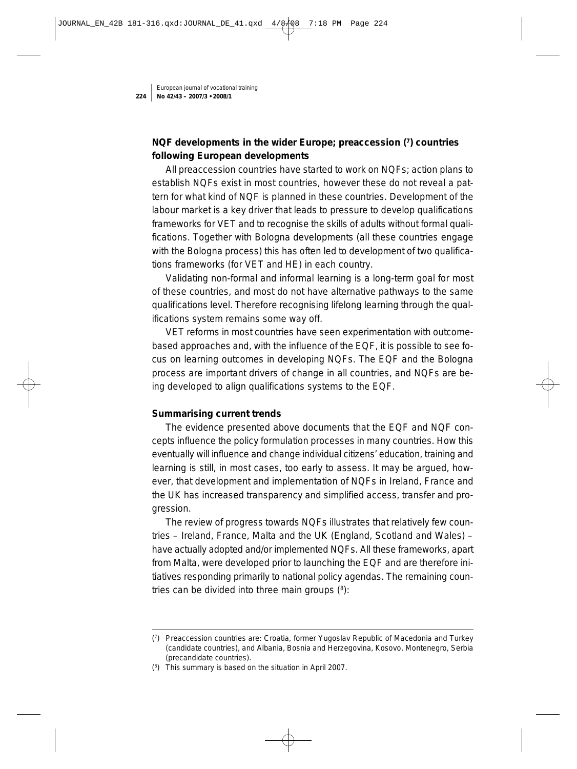# **NQF developments in the wider Europe; preaccession (7) countries following European developments**

All preaccession countries have started to work on NQFs; action plans to establish NQFs exist in most countries, however these do not reveal a pattern for what kind of NQF is planned in these countries. Development of the labour market is a key driver that leads to pressure to develop qualifications frameworks for VET and to recognise the skills of adults without formal qualifications. Together with Bologna developments (all these countries engage with the Bologna process) this has often led to development of two qualifications frameworks (for VET and HE) in each country.

Validating non-formal and informal learning is a long-term goal for most of these countries, and most do not have alternative pathways to the same qualifications level. Therefore recognising lifelong learning through the qualifications system remains some way off.

VET reforms in most countries have seen experimentation with outcomebased approaches and, with the influence of the EQF, it is possible to see focus on learning outcomes in developing NQFs. The EQF and the Bologna process are important drivers of change in all countries, and NQFs are being developed to align qualifications systems to the EQF.

## **Summarising current trends**

The evidence presented above documents that the EQF and NQF concepts influence the policy formulation processes in many countries. How this eventually will influence and change individual citizens' education, training and learning is still, in most cases, too early to assess. It may be argued, however, that development and implementation of NQFs in Ireland, France and the UK has increased transparency and simplified access, transfer and progression.

The review of progress towards NQFs illustrates that relatively few countries – Ireland, France, Malta and the UK (England, Scotland and Wales) – have actually adopted and/or implemented NQFs. All these frameworks, apart from Malta, were developed prior to launching the EQF and are therefore initiatives responding primarily to national policy agendas. The remaining countries can be divided into three main groups  $(^{8})$ :

<sup>(7)</sup> Preaccession countries are: Croatia, former Yugoslav Republic of Macedonia and Turkey (candidate countries), and Albania, Bosnia and Herzegovina, Kosovo, Montenegro, Serbia (precandidate countries).

<sup>(8)</sup> This summary is based on the situation in April 2007.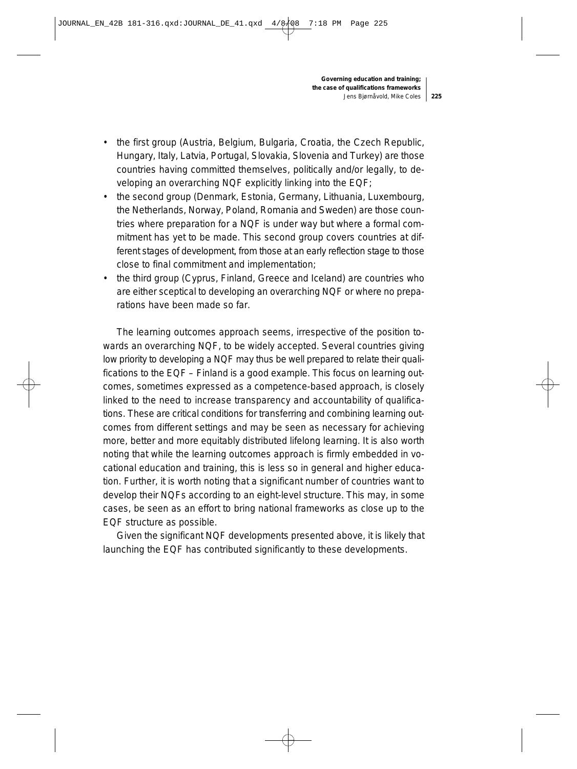- the first group (Austria, Belgium, Bulgaria, Croatia, the Czech Republic, Hungary, Italy, Latvia, Portugal, Slovakia, Slovenia and Turkey) are those countries having committed themselves, politically and/or legally, to developing an overarching NQF explicitly linking into the EQF;
- the second group (Denmark, Estonia, Germany, Lithuania, Luxembourg, the Netherlands, Norway, Poland, Romania and Sweden) are those countries where preparation for a NQF is under way but where a formal commitment has yet to be made. This second group covers countries at different stages of development, from those at an early reflection stage to those close to final commitment and implementation;
- the third group (Cyprus, Finland, Greece and Iceland) are countries who are either sceptical to developing an overarching NQF or where no preparations have been made so far.

The learning outcomes approach seems, irrespective of the position towards an overarching NQF, to be widely accepted. Several countries giving low priority to developing a NQF may thus be well prepared to relate their qualifications to the EQF – Finland is a good example. This focus on learning outcomes, sometimes expressed as a competence-based approach, is closely linked to the need to increase transparency and accountability of qualifications. These are critical conditions for transferring and combining learning outcomes from different settings and may be seen as necessary for achieving more, better and more equitably distributed lifelong learning. It is also worth noting that while the learning outcomes approach is firmly embedded in vocational education and training, this is less so in general and higher education. Further, it is worth noting that a significant number of countries want to develop their NQFs according to an eight-level structure. This may, in some cases, be seen as an effort to bring national frameworks as close up to the EQF structure as possible.

Given the significant NQF developments presented above, it is likely that launching the EQF has contributed significantly to these developments.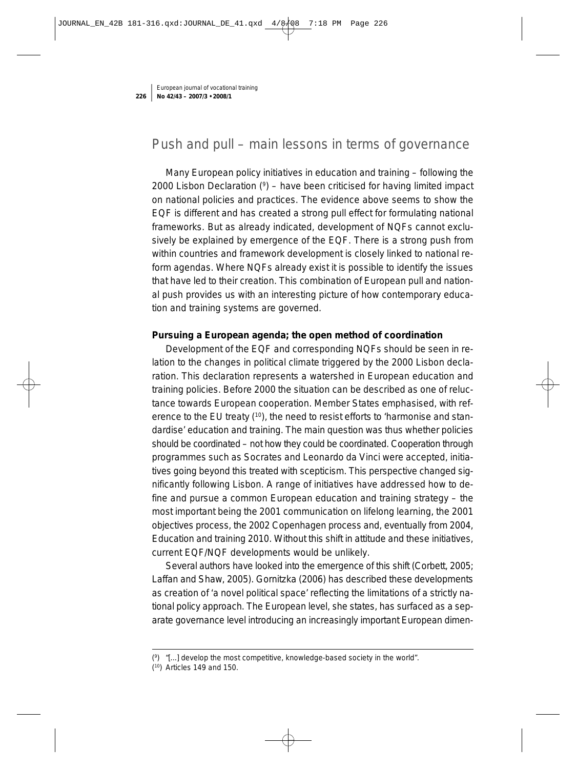# Push and pull – main lessons in terms of governance

Many European policy initiatives in education and training – following the 2000 Lisbon Declaration  $(9)$  – have been criticised for having limited impact on national policies and practices. The evidence above seems to show the EQF is different and has created a strong pull effect for formulating national frameworks. But as already indicated, development of NQFs cannot exclusively be explained by emergence of the EQF. There is a strong push from within countries and framework development is closely linked to national reform agendas. Where NQFs already exist it is possible to identify the issues that have led to their creation. This combination of European pull and national push provides us with an interesting picture of how contemporary education and training systems are governed.

#### **Pursuing a European agenda; the open method of coordination**

Development of the EQF and corresponding NQFs should be seen in relation to the changes in political climate triggered by the 2000 Lisbon declaration. This declaration represents a watershed in European education and training policies. Before 2000 the situation can be described as one of reluctance towards European cooperation. Member States emphasised, with reference to the EU treaty (10), the need to resist efforts to 'harmonise and standardise' education and training. The main question was thus whether policies should be coordinated – not how they could be coordinated. Cooperation through programmes such as Socrates and Leonardo da Vinci were accepted, initiatives going beyond this treated with scepticism. This perspective changed significantly following Lisbon. A range of initiatives have addressed how to define and pursue a common European education and training strategy – the most important being the 2001 communication on lifelong learning, the 2001 objectives process, the 2002 Copenhagen process and, eventually from 2004, Education and training 2010. Without this shift in attitude and these initiatives, current EQF/NQF developments would be unlikely.

Several authors have looked into the emergence of this shift (Corbett, 2005; Laffan and Shaw, 2005). Gornitzka (2006) has described these developments as creation of 'a novel political space' reflecting the limitations of a strictly national policy approach. The European level, she states, has surfaced as a separate governance level introducing an increasingly important European dimen-

<sup>(9) &</sup>quot;[...] develop the most competitive, knowledge-based society in the world".

<sup>(10)</sup> Articles 149 and 150.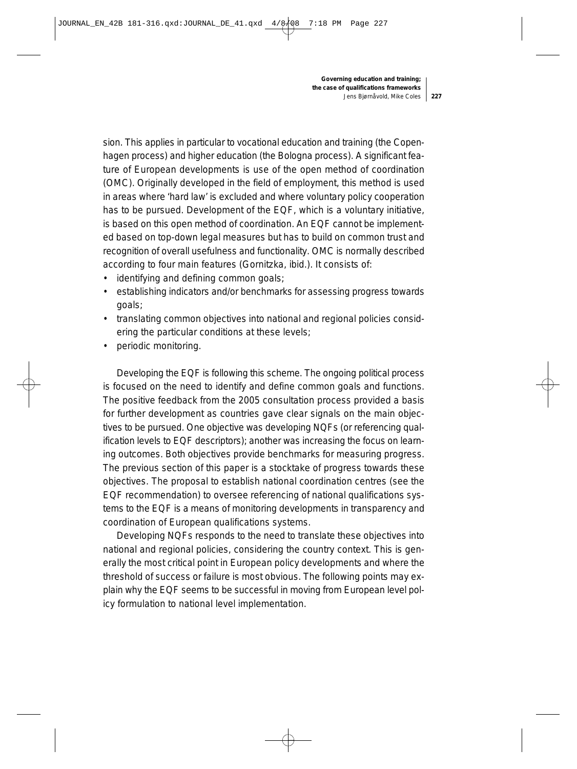sion. This applies in particular to vocational education and training (the Copenhagen process) and higher education (the Bologna process). A significant feature of European developments is use of the open method of coordination (OMC). Originally developed in the field of employment, this method is used in areas where 'hard law' is excluded and where voluntary policy cooperation has to be pursued. Development of the EQF, which is a voluntary initiative, is based on this open method of coordination. An EQF cannot be implemented based on top-down legal measures but has to build on common trust and recognition of overall usefulness and functionality. OMC is normally described according to four main features (Gornitzka, ibid.). It consists of:

- identifying and defining common goals;
- establishing indicators and/or benchmarks for assessing progress towards goals;
- translating common objectives into national and regional policies considering the particular conditions at these levels;
- periodic monitoring.

Developing the EQF is following this scheme. The ongoing political process is focused on the need to identify and define common goals and functions. The positive feedback from the 2005 consultation process provided a basis for further development as countries gave clear signals on the main objectives to be pursued. One objective was developing NQFs (or referencing qualification levels to EQF descriptors); another was increasing the focus on learning outcomes. Both objectives provide benchmarks for measuring progress. The previous section of this paper is a stocktake of progress towards these objectives. The proposal to establish national coordination centres (see the EQF recommendation) to oversee referencing of national qualifications systems to the EQF is a means of monitoring developments in transparency and coordination of European qualifications systems.

Developing NQFs responds to the need to translate these objectives into national and regional policies, considering the country context. This is generally the most critical point in European policy developments and where the threshold of success or failure is most obvious. The following points may explain why the EQF seems to be successful in moving from European level policy formulation to national level implementation.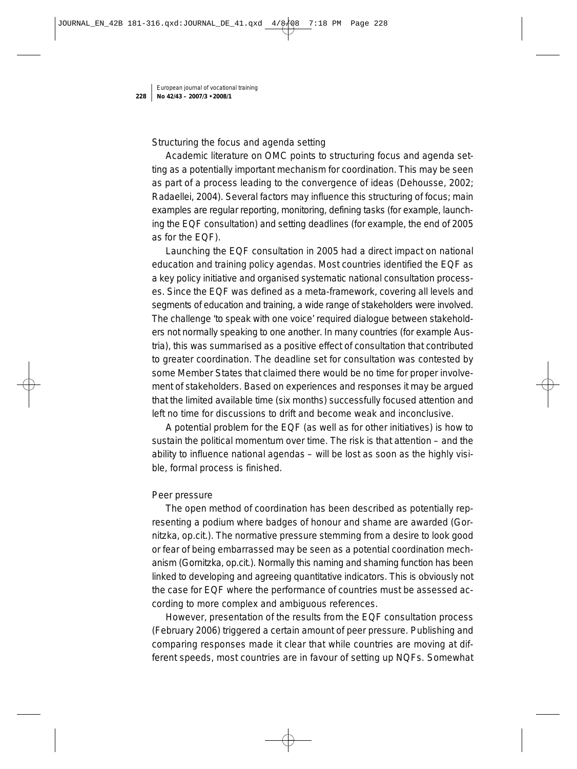#### *Structuring the focus and agenda setting*

Academic literature on OMC points to structuring focus and agenda setting as a potentially important mechanism for coordination. This may be seen as part of a process leading to the convergence of ideas (Dehousse, 2002; Radaellei, 2004). Several factors may influence this structuring of focus; main examples are regular reporting, monitoring, defining tasks (for example, launching the EQF consultation) and setting deadlines (for example, the end of 2005 as for the EQF).

Launching the EQF consultation in 2005 had a direct impact on national education and training policy agendas. Most countries identified the EQF as a key policy initiative and organised systematic national consultation processes. Since the EQF was defined as a meta-framework, covering all levels and segments of education and training, a wide range of stakeholders were involved. The challenge 'to speak with one voice' required dialogue between stakeholders not normally speaking to one another. In many countries (for example Austria), this was summarised as a positive effect of consultation that contributed to greater coordination. The deadline set for consultation was contested by some Member States that claimed there would be no time for proper involvement of stakeholders. Based on experiences and responses it may be argued that the limited available time (six months) successfully focused attention and left no time for discussions to drift and become weak and inconclusive.

A potential problem for the EQF (as well as for other initiatives) is how to sustain the political momentum over time. The risk is that attention – and the ability to influence national agendas – will be lost as soon as the highly visible, formal process is finished.

#### *Peer pressure*

The open method of coordination has been described as potentially representing a podium where badges of honour and shame are awarded (Gornitzka, op.cit.). The normative pressure stemming from a desire to look good or fear of being embarrassed may be seen as a potential coordination mechanism (Gornitzka, op.cit.). Normally this naming and shaming function has been linked to developing and agreeing quantitative indicators. This is obviously not the case for EQF where the performance of countries must be assessed according to more complex and ambiguous references.

However, presentation of the results from the EQF consultation process (February 2006) triggered a certain amount of peer pressure. Publishing and comparing responses made it clear that while countries are moving at different speeds, most countries are in favour of setting up NQFs. Somewhat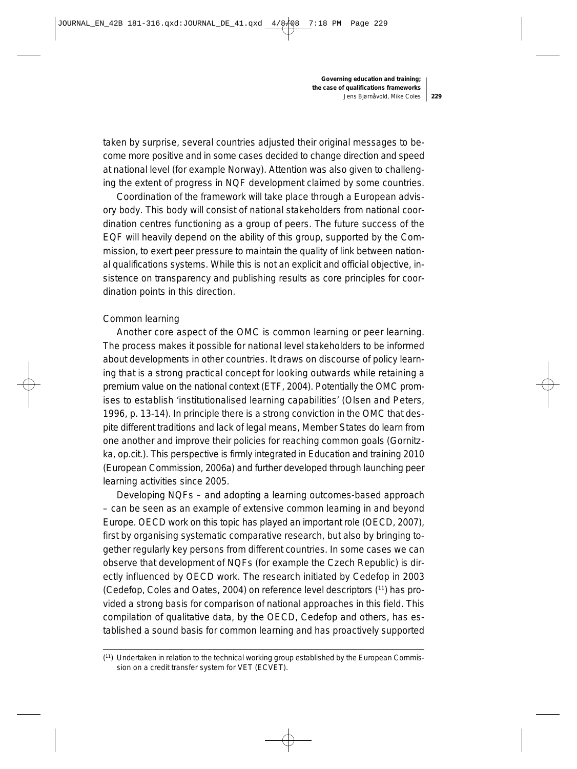taken by surprise, several countries adjusted their original messages to become more positive and in some cases decided to change direction and speed at national level (for example Norway). Attention was also given to challenging the extent of progress in NQF development claimed by some countries.

Coordination of the framework will take place through a European advisory body. This body will consist of national stakeholders from national coordination centres functioning as a group of peers. The future success of the EQF will heavily depend on the ability of this group, supported by the Commission, to exert peer pressure to maintain the quality of link between national qualifications systems. While this is not an explicit and official objective, insistence on transparency and publishing results as core principles for coordination points in this direction.

#### *Common learning*

Another core aspect of the OMC is common learning or peer learning. The process makes it possible for national level stakeholders to be informed about developments in other countries. It draws on discourse of policy learning that is a strong practical concept for looking outwards while retaining a premium value on the national context (ETF, 2004). Potentially the OMC promises to establish 'institutionalised learning capabilities' (Olsen and Peters, 1996, p. 13-14). In principle there is a strong conviction in the OMC that despite different traditions and lack of legal means, Member States do learn from one another and improve their policies for reaching common goals (Gornitzka, op.cit.). This perspective is firmly integrated in Education and training 2010 (European Commission, 2006a) and further developed through launching peer learning activities since 2005.

Developing NQFs – and adopting a learning outcomes-based approach – can be seen as an example of extensive common learning in and beyond Europe. OECD work on this topic has played an important role (OECD, 2007), first by organising systematic comparative research, but also by bringing together regularly key persons from different countries. In some cases we can observe that development of NQFs (for example the Czech Republic) is directly influenced by OECD work. The research initiated by Cedefop in 2003 (Cedefop, Coles and Oates, 2004) on reference level descriptors (11) has provided a strong basis for comparison of national approaches in this field. This compilation of qualitative data, by the OECD, Cedefop and others, has established a sound basis for common learning and has proactively supported

<sup>(11)</sup> Undertaken in relation to the technical working group established by the European Commission on a credit transfer system for VET (ECVET).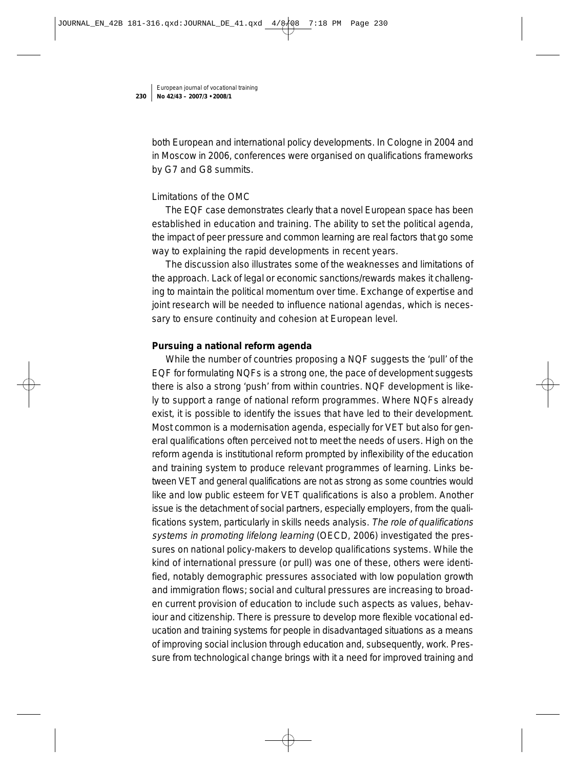both European and international policy developments. In Cologne in 2004 and in Moscow in 2006, conferences were organised on qualifications frameworks by G7 and G8 summits.

#### *Limitations of the OMC*

The EQF case demonstrates clearly that a novel European space has been established in education and training. The ability to set the political agenda, the impact of peer pressure and common learning are real factors that go some way to explaining the rapid developments in recent years.

The discussion also illustrates some of the weaknesses and limitations of the approach. Lack of legal or economic sanctions/rewards makes it challenging to maintain the political momentum over time. Exchange of expertise and joint research will be needed to influence national agendas, which is necessary to ensure continuity and cohesion at European level.

#### **Pursuing a national reform agenda**

While the number of countries proposing a NQF suggests the 'pull' of the EQF for formulating NQFs is a strong one, the pace of development suggests there is also a strong 'push' from within countries. NQF development is likely to support a range of national reform programmes. Where NQFs already exist, it is possible to identify the issues that have led to their development. Most common is a modernisation agenda, especially for VET but also for general qualifications often perceived not to meet the needs of users. High on the reform agenda is institutional reform prompted by inflexibility of the education and training system to produce relevant programmes of learning. Links between VET and general qualifications are not as strong as some countries would like and low public esteem for VET qualifications is also a problem. Another issue is the detachment of social partners, especially employers, from the qualifications system, particularly in skills needs analysis. The role of qualifications systems in promoting lifelong learning (OECD, 2006) investigated the pressures on national policy-makers to develop qualifications systems. While the kind of international pressure (or pull) was one of these, others were identified, notably demographic pressures associated with low population growth and immigration flows; social and cultural pressures are increasing to broaden current provision of education to include such aspects as values, behaviour and citizenship. There is pressure to develop more flexible vocational education and training systems for people in disadvantaged situations as a means of improving social inclusion through education and, subsequently, work. Pressure from technological change brings with it a need for improved training and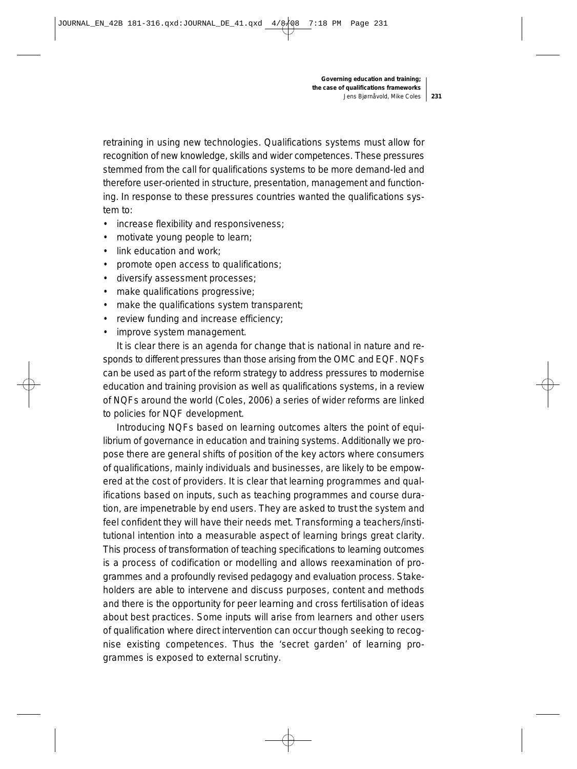retraining in using new technologies. Qualifications systems must allow for recognition of new knowledge, skills and wider competences. These pressures stemmed from the call for qualifications systems to be more demand-led and therefore user-oriented in structure, presentation, management and functioning. In response to these pressures countries wanted the qualifications system to:

- increase flexibility and responsiveness;
- motivate young people to learn;
- link education and work;
- promote open access to qualifications;
- diversify assessment processes;
- make qualifications progressive;
- make the qualifications system transparent;
- review funding and increase efficiency;
- improve system management.

It is clear there is an agenda for change that is national in nature and responds to different pressures than those arising from the OMC and EQF. NQFs can be used as part of the reform strategy to address pressures to modernise education and training provision as well as qualifications systems, in a review of NQFs around the world (Coles, 2006) a series of wider reforms are linked to policies for NQF development.

Introducing NQFs based on learning outcomes alters the point of equilibrium of governance in education and training systems. Additionally we propose there are general shifts of position of the key actors where consumers of qualifications, mainly individuals and businesses, are likely to be empowered at the cost of providers. It is clear that learning programmes and qualifications based on inputs, such as teaching programmes and course duration, are impenetrable by end users. They are asked to trust the system and feel confident they will have their needs met. Transforming a teachers/institutional intention into a measurable aspect of learning brings great clarity. This process of transformation of teaching specifications to learning outcomes is a process of codification or modelling and allows reexamination of programmes and a profoundly revised pedagogy and evaluation process. Stakeholders are able to intervene and discuss purposes, content and methods and there is the opportunity for peer learning and cross fertilisation of ideas about best practices. Some inputs will arise from learners and other users of qualification where direct intervention can occur though seeking to recognise existing competences. Thus the 'secret garden' of learning programmes is exposed to external scrutiny.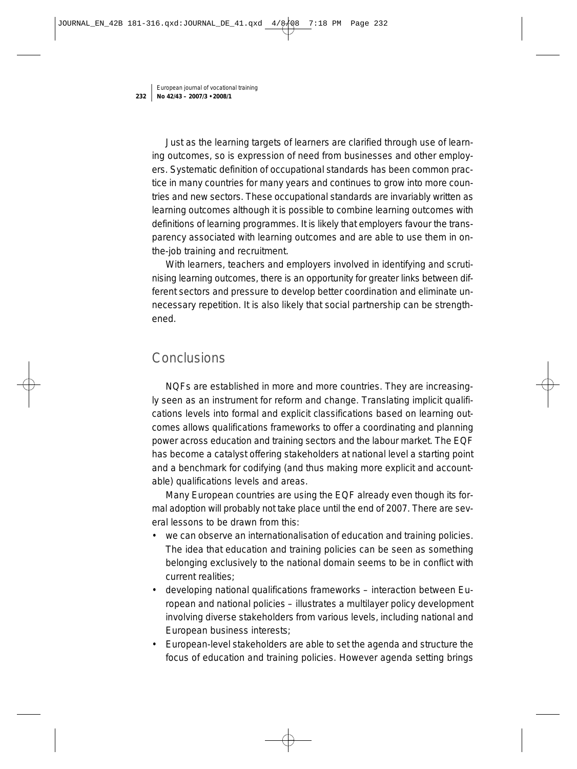Just as the learning targets of learners are clarified through use of learning outcomes, so is expression of need from businesses and other employers. Systematic definition of occupational standards has been common practice in many countries for many years and continues to grow into more countries and new sectors. These occupational standards are invariably written as learning outcomes although it is possible to combine learning outcomes with definitions of learning programmes. It is likely that employers favour the transparency associated with learning outcomes and are able to use them in onthe-job training and recruitment.

With learners, teachers and employers involved in identifying and scrutinising learning outcomes, there is an opportunity for greater links between different sectors and pressure to develop better coordination and eliminate unnecessary repetition. It is also likely that social partnership can be strengthened.

# **Conclusions**

NQFs are established in more and more countries. They are increasingly seen as an instrument for reform and change. Translating implicit qualifications levels into formal and explicit classifications based on learning outcomes allows qualifications frameworks to offer a coordinating and planning power across education and training sectors and the labour market. The EQF has become a catalyst offering stakeholders at national level a starting point and a benchmark for codifying (and thus making more explicit and accountable) qualifications levels and areas.

Many European countries are using the EQF already even though its formal adoption will probably not take place until the end of 2007. There are several lessons to be drawn from this:

- we can observe an internationalisation of education and training policies. The idea that education and training policies can be seen as something belonging exclusively to the national domain seems to be in conflict with current realities;
- developing national qualifications frameworks interaction between European and national policies – illustrates a multilayer policy development involving diverse stakeholders from various levels, including national and European business interests;
- European-level stakeholders are able to set the agenda and structure the focus of education and training policies. However agenda setting brings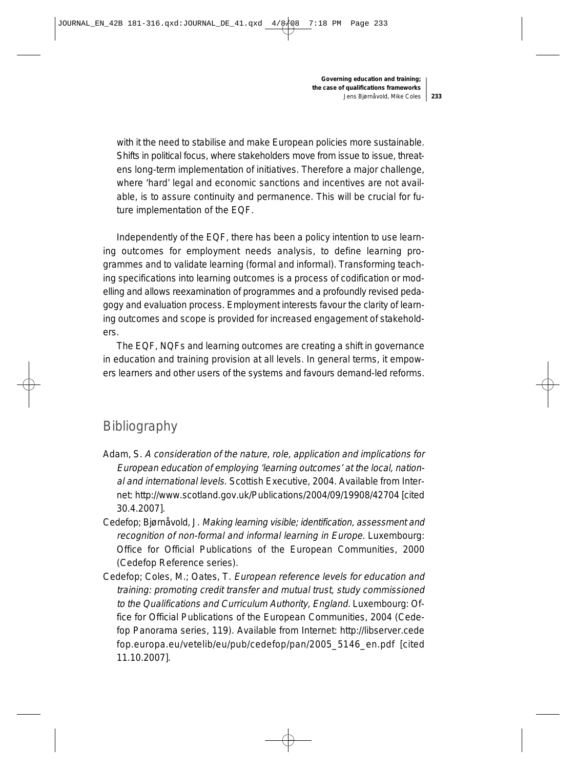with it the need to stabilise and make European policies more sustainable. Shifts in political focus, where stakeholders move from issue to issue, threatens long-term implementation of initiatives. Therefore a major challenge, where 'hard' legal and economic sanctions and incentives are not available, is to assure continuity and permanence. This will be crucial for future implementation of the EQF.

Independently of the EQF, there has been a policy intention to use learning outcomes for employment needs analysis, to define learning programmes and to validate learning (formal and informal). Transforming teaching specifications into learning outcomes is a process of codification or modelling and allows reexamination of programmes and a profoundly revised pedagogy and evaluation process. Employment interests favour the clarity of learning outcomes and scope is provided for increased engagement of stakeholders.

The EQF, NQFs and learning outcomes are creating a shift in governance in education and training provision at all levels. In general terms, it empowers learners and other users of the systems and favours demand-led reforms.

# Bibliography

- Adam, S. A consideration of the nature, role, application and implications for European education of employing 'learning outcomes' at the local, national and international levels. Scottish Executive, 2004. Available from Internet: http://www.scotland.gov.uk/Publications/2004/09/19908/42704 [cited 30.4.2007].
- Cedefop; Bjørnåvold, J. Making learning visible; identification, assessment and recognition of non-formal and informal learning in Europe. Luxembourg: Office for Official Publications of the European Communities, 2000 (Cedefop Reference series).
- Cedefop; Coles, M.; Oates, T. European reference levels for education and training: promoting credit transfer and mutual trust, study commissioned to the Qualifications and Curriculum Authority, England. Luxembourg: Office for Official Publications of the European Communities, 2004 (Cedefop Panorama series, 119). Available from Internet: http://libserver.cede fop.europa.eu/vetelib/eu/pub/cedefop/pan/2005\_5146\_en.pdf [cited 11.10.2007].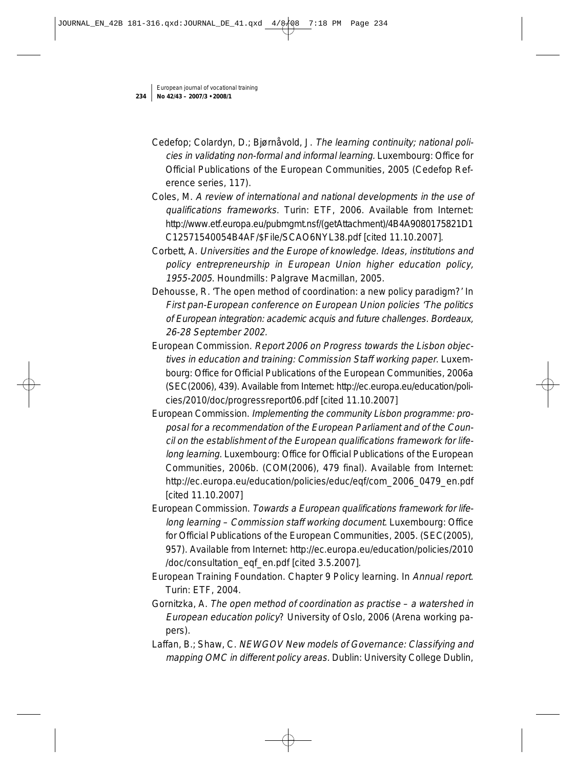- Cedefop; Colardyn, D.; Bjørnåvold, J. The learning continuity; national policies in validating non-formal and informal learning. Luxembourg: Office for Official Publications of the European Communities, 2005 (Cedefop Reference series, 117).
- Coles, M. A review of international and national developments in the use of qualifications frameworks. Turin: ETF, 2006. Available from Internet: http://www.etf.europa.eu/pubmgmt.nsf/(getAttachment)/4B4A9080175821D1 C12571540054B4AF/\$File/SCAO6NYL38.pdf [cited 11.10.2007].
- Corbett, A. Universities and the Europe of knowledge. Ideas, institutions and policy entrepreneurship in European Union higher education policy, 1955-2005. Houndmills: Palgrave Macmillan, 2005.
- Dehousse, R. 'The open method of coordination: a new policy paradigm?' In First pan-European conference on European Union policies 'The politics of European integration: academic acquis and future challenges. Bordeaux, 26-28 September 2002.
- European Commission. Report 2006 on Progress towards the Lisbon objectives in education and training: Commission Staff working paper. Luxembourg: Office for Official Publications of the European Communities, 2006a (SEC(2006), 439). Available from Internet: http://ec.europa.eu/education/policies/2010/doc/progressreport06.pdf [cited 11.10.2007]
- European Commission. Implementing the community Lisbon programme: proposal for a recommendation of the European Parliament and of the Council on the establishment of the European qualifications framework for lifelong learning. Luxembourg: Office for Official Publications of the European Communities, 2006b. (COM(2006), 479 final). Available from Internet: http://ec.europa.eu/education/policies/educ/eqf/com\_2006\_0479\_en.pdf [cited 11.10.2007]
- European Commission. Towards a European qualifications framework for lifelong learning – Commission staff working document. Luxembourg: Office for Official Publications of the European Communities, 2005. (SEC(2005), 957). Available from Internet: http://ec.europa.eu/education/policies/2010 /doc/consultation\_eqf\_en.pdf [cited 3.5.2007].
- European Training Foundation. Chapter 9 Policy learning. In Annual report. Turin: ETF, 2004.
- Gornitzka, A. The open method of coordination as practise a watershed in European education policy? University of Oslo, 2006 (Arena working papers).
- Laffan, B.; Shaw, C. NEWGOV New models of Governance: Classifying and mapping OMC in different policy areas. Dublin: University College Dublin,